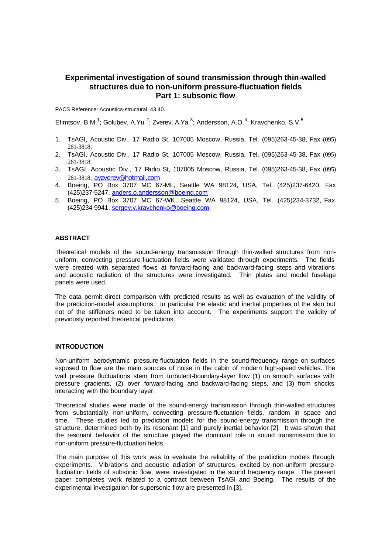# **Experimental investigation of sound transmission through thin-walled structures due to non-uniform pressure-fluctuation fields Part 1: subsonic flow**

PACS Reference: Acoustics-structural, 43.40.

Efimtsov, B.M.<sup>1</sup>; Golubev, A.Yu.<sup>2</sup>; Zverev, A.Ya.<sup>3</sup>; Andersson, A.O.<sup>4</sup>; Kravchenko, S.V.<sup>5</sup>

- 1. TsAGI, Acoustic Div., 17 Radio St, 107005 Moscow, Russia, Tel. (095)263-45-38, Fax (095) 261-3818.
- 2. TsAGI, Acoustic Div., 17 Radio St, 107005 Moscow, Russia, Tel. (095)263-45-38, Fax (095) 261-3818
- 3. TsAGI, Acoustic Div., 17 Radio St, 107005 Moscow, Russia, Tel. (095)263-45-38, Fax (095) 261-3818, ayzverev@hotmail.com
- 4. Boeing, PO Box 3707 MC 67-ML, Seattle WA 98124, USA, Tel. (425)237-6420, Fax (425)237-5247, anders.o.andersson@boeing.com
- 5. Boeing, PO Box 3707 MC 67-WK, Seattle WA 98124, USA, Tel. (425)234-3732, Fax (425)234-9941, sergey.v.kravchenko@boeing.com

### **ABSTRACT**

Theoretical models of the sound-energy transmission through thin-walled structures from nonuniform, convecting pressure-fluctuation fields were validated through experiments. The fields were created with separated flows at forward-facing and backward-facing steps and vibrations and acoustic radiation of the structures were investigated. Thin plates and model fuselage panels were used.

The data permit direct comparison with predicted results as well as evaluation of the validity of the prediction-model assumptions. In particular the elastic and inertial properties of the skin but not of the stiffeners need to be taken into account. The experiments support the validity of previously reported theoretical predictions.

#### **INTRODUCTION**

Non-uniform aerodynamic pressure-fluctuation fields in the sound-frequency range on surfaces exposed to flow are the main sources of noise in the cabin of modern high-speed vehicles. The wall pressure fluctuations stem from turbulent-boundary-layer flow (1) on smooth surfaces with pressure gradients, (2) over forward-facing and backward-facing steps, and (3) from shocks interacting with the boundary layer.

Theoretical studies were made of the sound-energy transmission through thin-walled structures from substantially non-uniform, convecting pressure-fluctuation fields, random in space and time. These studies led to prediction models for the sound-energy transmission through the structure, determined both by its resonant [1] and purely inertial behavior [2]. It was shown that the resonant behavior of the structure played the dominant role in sound transmission due to non-uniform pressure-fluctuation fields.

The main purpose of this work was to evaluate the reliability of the prediction models through experiments. Vibrations and acoustic radiation of structures, excited by non-uniform pressurefluctuation fields of subsonic flow, were investigated in the sound frequency range. The present paper completes work related to a contract between TsAGI and Boeing. The results of the experimental investigation for supersonic flow are presented in [3].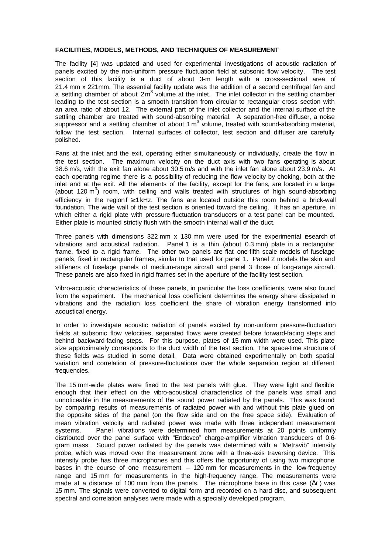### **FACILITIES, MODELS, METHODS, AND TECHNIQUES OF MEASUREMENT**

The facility [4] was updated and used for experimental investigations of acoustic radiation of panels excited by the non-uniform pressure fluctuation field at subsonic flow velocity. The test section of this facility is a duct of about 3-m length with a cross-sectional area of 21.4 mm x 221mm. The essential facility update was the addition of a second centrifugal fan and a settling chamber of about  $2m<sup>3</sup>$  volume at the inlet. The inlet collector in the settling chamber leading to the test section is a smooth transition from circular to rectangular cross section with an area ratio of about 12. The external part of the inlet collector and the internal surface of the settling chamber are treated with sound-absorbing material. A separation-free diffuser, a noise suppressor and a settling chamber of about 1 m<sup>3</sup> volume, treated with sound-absorbing material, follow the test section. Internal surfaces of collector, test section and diffuser are carefully polished.

Fans at the inlet and the exit, operating either simultaneously or individually, create the flow in the test section. The maximum velocity on the duct axis with two fans operating is about 38.6 m/s, with the exit fan alone about 30.5 m/s and with the inlet fan alone about 23.9 m/s. At each operating regime there is a possibility of reducing the flow velocity by choking, both at the inlet and at the exit. All the elements of the facility, except for the fans, are located in a large (about 120  $\text{m}^3$ ) room, with ceiling and walls treated with structures of high sound-absorbing efficiency in the region  $f \geq 1$  kHz. The fans are located outside this room behind a brick-wall foundation. The wide wall of the test section is oriented toward the ceiling. It has an aperture, in which either a rigid plate with pressure-fluctuation transducers or a test panel can be mounted. Either plate is mounted strictly flush with the smooth internal wall of the duct.

Three panels with dimensions 322 mm  $\times$  130 mm were used for the experimental research of vibrations and acoustical radiation. Panel 1 is a thin (about 0.3 mm) plate in a rectangular frame, fixed to a rigid frame. The other two panels are flat one-fifth scale models of fuselage panels, fixed in rectangular frames, similar to that used for panel 1. Panel 2 models the skin and stiffeners of fuselage panels of medium-range aircraft and panel 3 those of long-range aircraft. These panels are also fixed in rigid frames set in the aperture of the facility test section.

Vibro-acoustic characteristics of these panels, in particular the loss coefficients, were also found from the experiment. The mechanical loss coefficient determines the energy share dissipated in vibrations and the radiation loss coefficient the share of vibration energy transformed into acoustical energy.

In order to investigate acoustic radiation of panels excited by non-uniform pressure-fluctuation fields at subsonic flow velocities, separated flows were created before forward-facing steps and behind backward-facing steps. For this purpose, plates of 15 mm width were used. This plate size approximately corresponds to the duct width of the test section. The space-time structure of these fields was studied in some detail. Data were obtained experimentally on both spatial variation and correlation of pressure-fluctuations over the whole separation region at different frequencies.

The 15 mm-wide plates were fixed to the test panels with glue. They were light and flexible enough that their effect on the vibro-acoustical characteristics of the panels was small and unnoticeable in the measurements of the sound power radiated by the panels. This was found by comparing results of measurements of radiated power with and without this plate glued on the opposite sides of the panel (on the flow side and on the free space side). Evaluation of mean vibration velocity and radiated power was made with three independent measurement systems. Panel vibrations were determined from measurements at 20 points uniformly distributed over the panel surface with "Endevco" charge-amplifier vibration transducers of 0.6 gram mass. Sound power radiated by the panels was determined with a "Metravib" intensity probe, which was moved over the measurement zone with a three-axis traversing device. This intensity probe has three microphones and this offers the opportunity of using two microphone bases in the course of one measurement – 120 mm for measurements in the low-frequency range and 15 mm for measurements in the high-frequency range. The measurements were made at a distance of 100 mm from the panels. The microphone base in this case ( $\Delta r$ ) was 15 mm. The signals were converted to digital form and recorded on a hard disc, and subsequent spectral and correlation analyses were made with a specially developed program.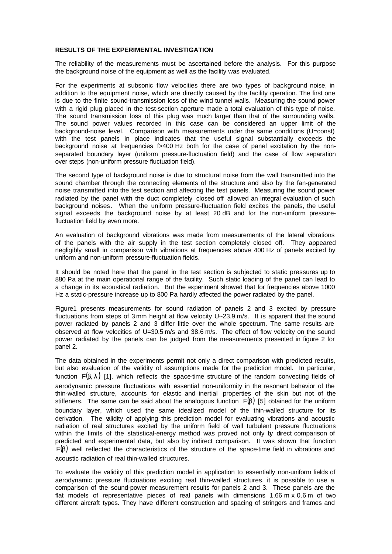#### **RESULTS OF THE EXPERIMENTAL INVESTIGATION**

The reliability of the measurements must be ascertained before the analysis. For this purpose the background noise of the equipment as well as the facility was evaluated.

For the experiments at subsonic flow velocities there are two types of background noise, in addition to the equipment noise, which are directly caused by the facility operation. The first one is due to the finite sound-transmission loss of the wind tunnel walls. Measuring the sound power with a rigid plug placed in the test-section aperture made a total evaluation of this type of noise. The sound transmission loss of this plug was much larger than that of the surrounding walls. The sound power values recorded in this case can be considered an upper limit of the background-noise level. Comparison with measurements under the same conditions (U=const) with the test panels in place indicates that the useful signal substantially exceeds the background noise at frequencies f>400 Hz both for the case of panel excitation by the nonseparated boundary layer (uniform pressure-fluctuation field) and the case of flow separation over steps (non-uniform pressure fluctuation field).

The second type of background noise is due to structural noise from the wall transmitted into the sound chamber through the connecting elements of the structure and also by the fan-generated noise transmitted into the test section and affecting the test panels. Measuring the sound power radiated by the panel with the duct completely closed off allowed an integral evaluation of such background noises. When the uniform pressure-fluctuation field excites the panels, the useful signal exceeds the background noise by at least 20 dB and for the non-uniform pressurefluctuation field by even more.

An evaluation of background vibrations was made from measurements of the lateral vibrations of the panels with the air supply in the test section completely closed off. They appeared negligibly small in comparison with vibrations at frequencies above 400 Hz of panels excited by uniform and non-uniform pressure-fluctuation fields.

It should be noted here that the panel in the test section is subjected to static pressures up to 880 Pa at the main operational range of the facility. Such static loading of the panel can lead to a change in its acoustical radiation. But the experiment showed that for frequencies above 1000 Hz a static-pressure increase up to 800 Pa hardly affected the power radiated by the panel.

Figure1 presents measurements for sound radiation of panels 2 and 3 excited by pressure fluctuations from steps of 3 mm height at flow velocity U~23.9 m/s. It is apparent that the sound power radiated by panels 2 and 3 differ little over the whole spectrum. The same results are observed at flow velocities of U=30.5 m/s and 38.6 m/s. The effect of flow velocity on the sound power radiated by the panels can be judged from the measurements presented in figure 2 for panel 2.

The data obtained in the experiments permit not only a direct comparison with predicted results, but also evaluation of the validity of assumptions made for the prediction model. In particular, function  $F(\beta, \lambda)$  [1], which reflects the space-time structure of the random convecting fields of aerodynamic pressure fluctuations with essential non-uniformity in the resonant behavior of the thin-walled structure, accounts for elastic and inertial properties of the skin but not of the stiffeners. The same can be said about the analogous function  $F(\beta)$  [5] obtained for the uniform boundary layer, which used the same idealized model of the thin-walled structure for its derivation. The validity of applying this prediction model for evaluating vibrations and acoustic radiation of real structures excited by the uniform field of wall turbulent pressure fluctuations within the limits of the statistical-energy method was proved not only by direct comparison of predicted and experimental data, but also by indirect comparison. It was shown that function  $F(\beta)$  well reflected the characteristics of the structure of the space-time field in vibrations and acoustic radiation of real thin-walled structures.

To evaluate the validity of this prediction model in application to essentially non-uniform fields of aerodynamic pressure fluctuations exciting real thin-walled structures, it is possible to use a comparison of the sound-power measurement results for panels 2 and 3. These panels are the flat models of representative pieces of real panels with dimensions 1.66 m x 0.6 m of two different aircraft types. They have different construction and spacing of stringers and frames and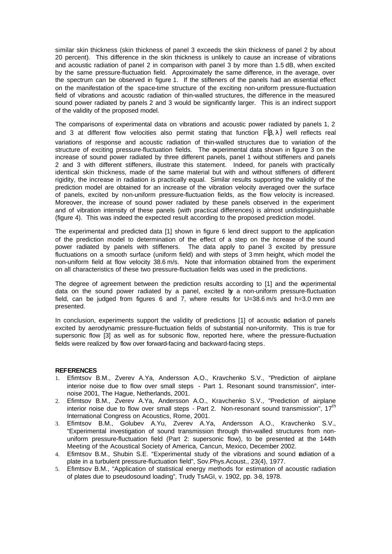similar skin thickness (skin thickness of panel 3 exceeds the skin thickness of panel 2 by about 20 percent). This difference in the skin thickness is unlikely to cause an increase of vibrations and acoustic radiation of panel 2 in comparison with panel 3 by more than 1.5 dB, when excited by the same pressure-fluctuation field. Approximately the same difference, in the average, over the spectrum can be observed in figure 1. If the stiffeners of the panels had an essential effect on the manifestation of the space-time structure of the exciting non-uniform pressure-fluctuation field of vibrations and acoustic radiation of thin-walled structures, the difference in the measured sound power radiated by panels 2 and 3 would be significantly larger. This is an indirect support of the validity of the proposed model.

The comparisons of experimental data on vibrations and acoustic power radiated by panels 1, 2 and 3 at different flow velocities also permit stating that function  $F(\beta, \lambda)$  well reflects real variations of response and acoustic radiation of thin-walled structures due to variation of the structure of exciting pressure-fluctuation fields. The experimental data shown in figure 3 on the increase of sound power radiated by three different panels, panel 1 without stiffeners and panels 2 and 3 with different stiffeners, illustrate this statement. Indeed, for panels with practically identical skin thickness, made of the same material but with and without stiffeners of different rigidity, the increase in radiation is practically equal. Similar results supporting the validity of the prediction model are obtained for an increase of the vibration velocity averaged over the surface of panels, excited by non-uniform pressure-fluctuation fields, as the flow velocity is increased. Moreover, the increase of sound power radiated by these panels observed in the experiment and of vibration intensity of these panels (with practical differences) is almost undistinguishable (figure 4). This was indeed the expected result according to the proposed prediction model.

The experimental and predicted data [1] shown in figure 6 lend direct support to the application of the prediction model to determination of the effect of a step on the increase of the sound power radiated by panels with stiffeners. The data apply to panel 3 excited by pressure fluctuations on a smooth surface (uniform field) and with steps of 3 mm height, which model the non-uniform field at flow velocity 38.6 m/s. Note that information obtained from the experiment on all characteristics of these two pressure-fluctuation fields was used in the predictions.

The degree of agreement between the prediction results according to [1] and the experimental data on the sound power radiated by a panel, excited by a non-uniform pressure-fluctuation field, can be judged from figures 6 and 7, where results for  $U=38.6$  m/s and h=3.0 mm are presented.

In conclusion, experiments support the validity of predictions [1] of acoustic adiation of panels excited by aerodynamic pressure-fluctuation fields of substantial non-uniformity. This is true for supersonic flow [3] as well as for subsonic flow, reported here, where the pressure-fluctuation fields were realized by flow over forward-facing and backward-facing steps.

## **REFERENCES**

- 1. Efimtsov B.M., Zverev A.Ya, Andersson A.O., Kravchenko S.V., "Prediction of airplane interior noise due to flow over small steps - Part 1. Resonant sound transmission", internoise 2001, The Hague, Netherlands, 2001.
- 2. Efimtsov B.M., Zverev A.Ya, Andersson A.O., Kravchenko S.V., "Prediction of airplane interior noise due to flow over small steps - Part 2. Non-resonant sound transmission". 17<sup>th</sup> International Congress on Acoustics, Rome, 2001.
- 3. Efimtsov B.M., Golubev A.Yu, Zverev A.Ya, Andersson A.O., Kravchenko S.V., "Experimental investigation of sound transmission through thin-walled structures from nonuniform pressure-fluctuation field (Part 2: supersonic flow), to be presented at the 144th Meeting of the Acoustical Society of America, Cancun, Mexico, December 2002.
- 4. Efimtsov B.M., Shubin S.E. "Experimental study of the vibrations and sound adiation of a plate in a turbulent pressure-fluctuation field", Sov.Phys.Acoust., 23(4), 1977.
- 5. Efimtsov B.M., "Application of statistical energy methods for estimation of acoustic radiation of plates due to pseudosound loading", Trudy TsAGI, v. 1902, pp. 3-8, 1978.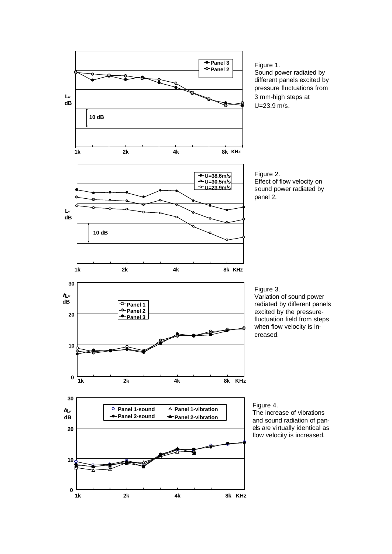

Figure 1. Sound power radiated by different panels excited by pressure fluctuations from 3 mm-high steps at U=23.9 m/s.

Figure 2. Effect of flow velocity on sound power radiated by panel 2.

Variation of sound power radiated by different panels excited by the pressurefluctuation field from steps when flow velocity is increased.

The increase of vibrations and sound radiation of panels are virtually identical as flow velocity is increased.